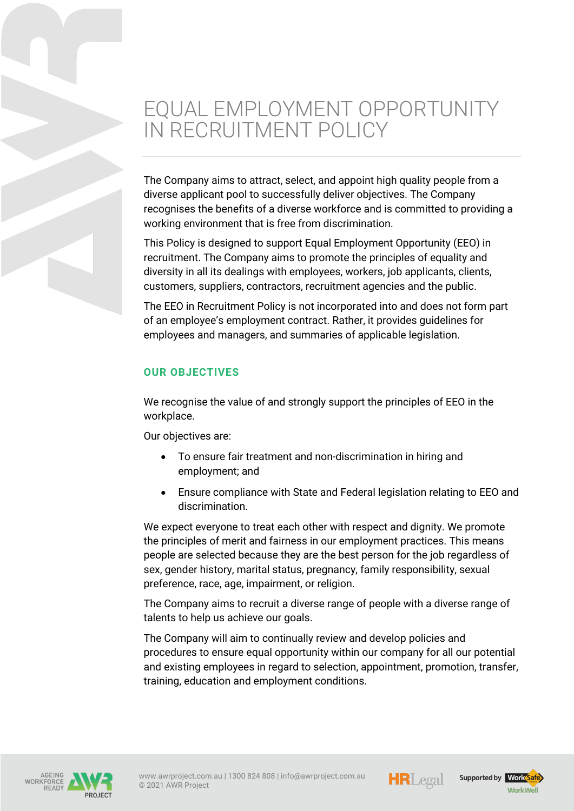# EQUAL EMPLOYMENT OPPORTUNITY IN RECRUITMENT POLICY

The Company aims to attract, select, and appoint high quality people from a diverse applicant pool to successfully deliver objectives. The Company recognises the benefits of a diverse workforce and is committed to providing a working environment that is free from discrimination.

This Policy is designed to support Equal Employment Opportunity (EEO) in recruitment. The Company aims to promote the principles of equality and diversity in all its dealings with employees, workers, job applicants, clients, customers, suppliers, contractors, recruitment agencies and the public.

The EEO in Recruitment Policy is not incorporated into and does not form part of an employee's employment contract. Rather, it provides guidelines for employees and managers, and summaries of applicable legislation.

### **OUR OBJECTIVES**

We recognise the value of and strongly support the principles of EEO in the workplace.

Our objectives are:

- To ensure fair treatment and non-discrimination in hiring and employment; and
- Ensure compliance with State and Federal legislation relating to EEO and discrimination.

We expect everyone to treat each other with respect and dignity. We promote the principles of merit and fairness in our employment practices. This means people are selected because they are the best person for the job regardless of sex, gender history, marital status, pregnancy, family responsibility, sexual preference, race, age, impairment, or religion.

The Company aims to recruit a diverse range of people with a diverse range of talents to help us achieve our goals.

The Company will aim to continually review and develop policies and procedures to ensure equal opportunity within our company for all our potential and existing employees in regard to selection, appointment, promotion, transfer, training, education and employment conditions.





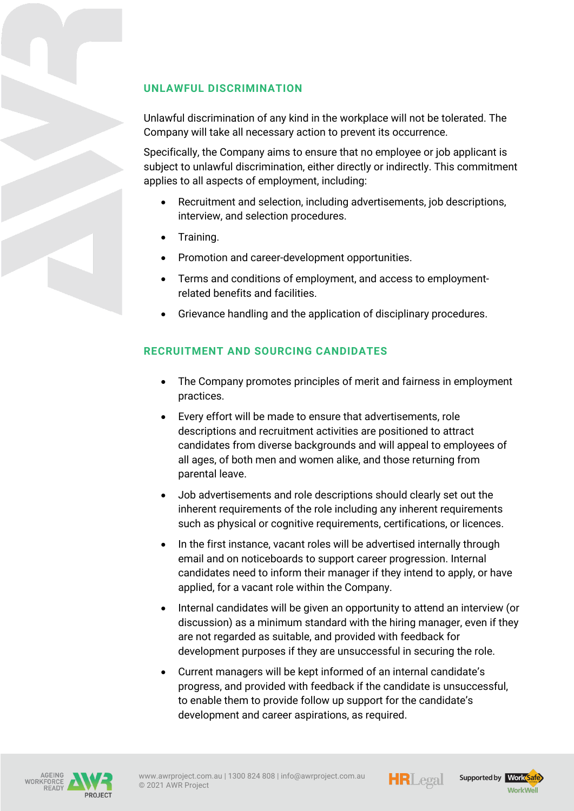## **UNLAWFUL DISCRIMINATION**

Unlawful discrimination of any kind in the workplace will not be tolerated. The Company will take all necessary action to prevent its occurrence.

Specifically, the Company aims to ensure that no employee or job applicant is subject to unlawful discrimination, either directly or indirectly. This commitment applies to all aspects of employment, including:

- Recruitment and selection, including advertisements, job descriptions, interview, and selection procedures.
- Training.
- Promotion and career-development opportunities.
- Terms and conditions of employment, and access to employmentrelated benefits and facilities.
- Grievance handling and the application of disciplinary procedures.

#### **RECRUITMENT AND SOURCING CANDIDATES**

- The Company promotes principles of merit and fairness in employment practices.
- Every effort will be made to ensure that advertisements, role descriptions and recruitment activities are positioned to attract candidates from diverse backgrounds and will appeal to employees of all ages, of both men and women alike, and those returning from parental leave.
- Job advertisements and role descriptions should clearly set out the inherent requirements of the role including any inherent requirements such as physical or cognitive requirements, certifications, or licences.
- In the first instance, vacant roles will be advertised internally through email and on noticeboards to support career progression. Internal candidates need to inform their manager if they intend to apply, or have applied, for a vacant role within the Company.
- Internal candidates will be given an opportunity to attend an interview (or discussion) as a minimum standard with the hiring manager, even if they are not regarded as suitable, and provided with feedback for development purposes if they are unsuccessful in securing the role.
- Current managers will be kept informed of an internal candidate's progress, and provided with feedback if the candidate is unsuccessful, to enable them to provide follow up support for the candidate's development and career aspirations, as required.







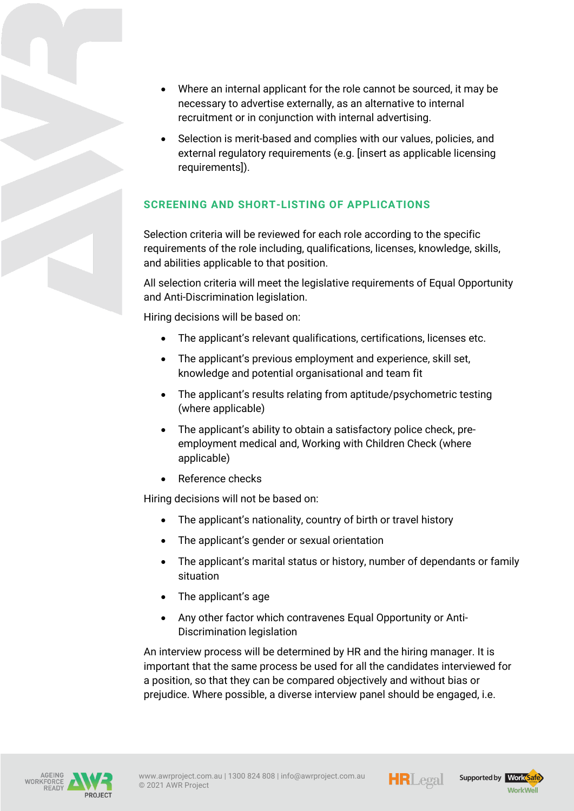- Where an internal applicant for the role cannot be sourced, it may be necessary to advertise externally, as an alternative to internal recruitment or in conjunction with internal advertising.
- Selection is merit-based and complies with our values, policies, and external regulatory requirements (e.g. [insert as applicable licensing requirements]).

# **SCREENING AND SHORT-LISTING OF APPLICATIONS**

Selection criteria will be reviewed for each role according to the specific requirements of the role including, qualifications, licenses, knowledge, skills, and abilities applicable to that position.

All selection criteria will meet the legislative requirements of Equal Opportunity and Anti-Discrimination legislation.

Hiring decisions will be based on:

- The applicant's relevant qualifications, certifications, licenses etc.
- The applicant's previous employment and experience, skill set, knowledge and potential organisational and team fit
- The applicant's results relating from aptitude/psychometric testing (where applicable)
- The applicant's ability to obtain a satisfactory police check, preemployment medical and, Working with Children Check (where applicable)
- Reference checks

Hiring decisions will not be based on:

- The applicant's nationality, country of birth or travel history
- The applicant's gender or sexual orientation
- The applicant's marital status or history, number of dependants or family situation
- The applicant's age
- Any other factor which contravenes Equal Opportunity or Anti-Discrimination legislation

An interview process will be determined by HR and the hiring manager. It is important that the same process be used for all the candidates interviewed for a position, so that they can be compared objectively and without bias or prejudice. Where possible, a diverse interview panel should be engaged, i.e.